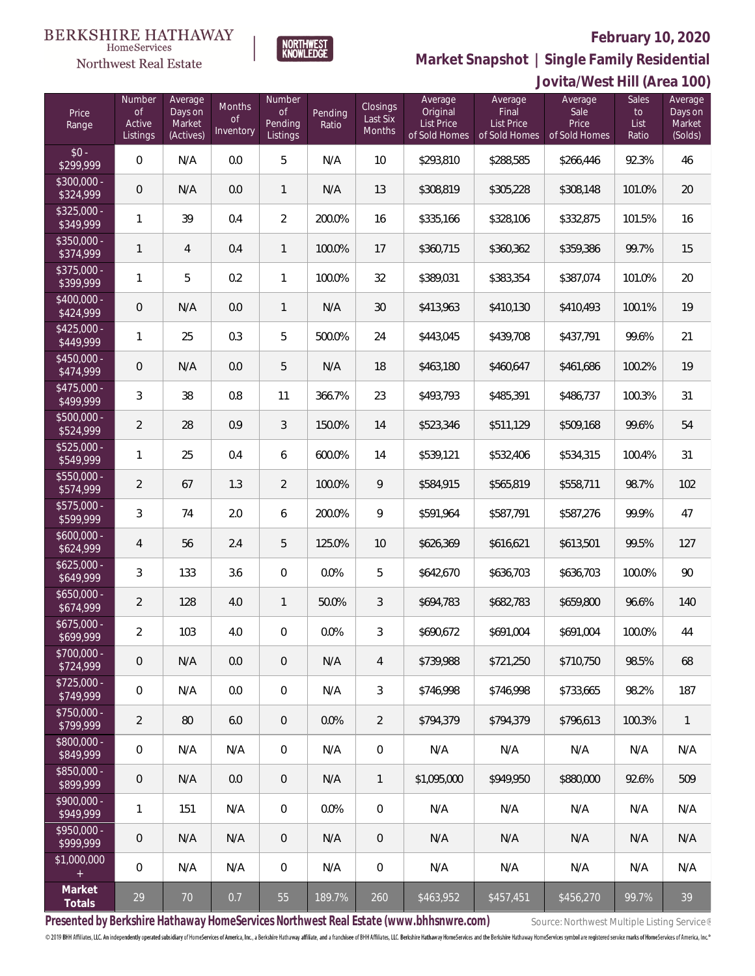### **February 10, 2020**



**Market Snapshot | Single Family Residential**

#### **BERKSHIRE HATHAWAY**  $\label{lem:sevices} \textsc{Home} \textsc{Service} \textsc{s}$ Northwest Real Estate

|                           | Jovita/West Hill (Area 100)                   |                                           |                                      |                                            |                  |                                |                                                           |                                                               |                                           |                                     |                                         |
|---------------------------|-----------------------------------------------|-------------------------------------------|--------------------------------------|--------------------------------------------|------------------|--------------------------------|-----------------------------------------------------------|---------------------------------------------------------------|-------------------------------------------|-------------------------------------|-----------------------------------------|
| Price<br>Range            | Number<br>$\mathsf{of}$<br>Active<br>Listings | Average<br>Days on<br>Market<br>(Actives) | Months<br>$\mathsf{of}$<br>Inventory | Number<br><b>of</b><br>Pending<br>Listings | Pending<br>Ratio | Closings<br>Last Six<br>Months | Average<br>Original<br><b>List Price</b><br>of Sold Homes | Average<br><b>Final</b><br><b>List Price</b><br>of Sold Homes | Average<br>Sale<br>Price<br>of Sold Homes | <b>Sales</b><br>to<br>List<br>Ratio | Average<br>Days on<br>Market<br>(Solds) |
| $$0 -$<br>\$299,999       | $\mathbf 0$                                   | N/A                                       | 0.0                                  | 5                                          | N/A              | 10                             | \$293,810                                                 | \$288,585                                                     | \$266,446                                 | 92.3%                               | 46                                      |
| $$300,000 -$<br>\$324,999 | $\theta$                                      | N/A                                       | 0.0                                  | $\mathbf{1}$                               | N/A              | 13                             | \$308,819                                                 | \$305,228                                                     | \$308,148                                 | 101.0%                              | 20                                      |
| $$325,000 -$<br>\$349,999 | 1                                             | 39                                        | 0.4                                  | $\overline{2}$                             | 200.0%           | 16                             | \$335,166                                                 | \$328,106                                                     | \$332,875                                 | 101.5%                              | 16                                      |
| $$350,000 -$<br>\$374,999 | 1                                             | 4                                         | 0.4                                  | $\mathbf{1}$                               | 100.0%           | 17                             | \$360,715                                                 | \$360,362                                                     | \$359,386                                 | 99.7%                               | 15                                      |
| $$375,000 -$<br>\$399,999 | 1                                             | 5                                         | 0.2                                  | $\mathbf{1}$                               | 100.0%           | 32                             | \$389,031                                                 | \$383,354                                                     | \$387,074                                 | 101.0%                              | 20                                      |
| $$400,000 -$<br>\$424,999 | $\mathbf 0$                                   | N/A                                       | 0.0                                  | $\mathbf{1}$                               | N/A              | 30                             | \$413,963                                                 | \$410,130                                                     | \$410,493                                 | 100.1%                              | 19                                      |
| $$425,000 -$<br>\$449,999 | 1                                             | 25                                        | 0.3                                  | 5                                          | 500.0%           | 24                             | \$443,045                                                 | \$439,708                                                     | \$437,791                                 | 99.6%                               | 21                                      |
| $$450,000 -$<br>\$474,999 | $\mathbf 0$                                   | N/A                                       | 0.0                                  | 5                                          | N/A              | 18                             | \$463,180                                                 | \$460,647                                                     | \$461,686                                 | 100.2%                              | 19                                      |
| $$475,000 -$<br>\$499,999 | 3                                             | 38                                        | 0.8                                  | 11                                         | 366.7%           | 23                             | \$493,793                                                 | \$485,391                                                     | \$486,737                                 | 100.3%                              | 31                                      |
| $$500,000 -$<br>\$524,999 | $\overline{2}$                                | 28                                        | 0.9                                  | $\mathfrak{Z}$                             | 150.0%           | 14                             | \$523,346                                                 | \$511,129                                                     | \$509,168                                 | 99.6%                               | 54                                      |
| $$525,000 -$<br>\$549,999 | 1                                             | 25                                        | 0.4                                  | 6                                          | 600.0%           | 14                             | \$539,121                                                 | \$532,406                                                     | \$534,315                                 | 100.4%                              | 31                                      |
| $$550,000 -$<br>\$574,999 | $\overline{2}$                                | 67                                        | 1.3                                  | $\overline{2}$                             | 100.0%           | 9                              | \$584,915                                                 | \$565,819                                                     | \$558,711                                 | 98.7%                               | 102                                     |
| $$575,000 -$<br>\$599,999 | 3                                             | 74                                        | 2.0                                  | 6                                          | 200.0%           | 9                              | \$591,964                                                 | \$587,791                                                     | \$587,276                                 | 99.9%                               | 47                                      |
| $$600,000 -$<br>\$624,999 | 4                                             | 56                                        | 2.4                                  | 5                                          | 125.0%           | 10                             | \$626,369                                                 | \$616,621                                                     | \$613,501                                 | 99.5%                               | 127                                     |
| $$625,000 -$<br>\$649,999 | 3                                             | 133                                       | 3.6                                  | $\overline{0}$                             | 0.0%             | 5                              | \$642,670                                                 | \$636,703                                                     | \$636,703                                 | 100.0%                              | 90                                      |
| $$650,000 -$<br>\$674,999 | $\overline{2}$                                | 128                                       | 4.0                                  | $\mathbf{1}$                               | 50.0%            | 3                              | \$694,783                                                 | \$682,783                                                     | \$659,800                                 | 96.6%                               | 140                                     |
| $$675.000 -$<br>\$699,999 | $\overline{2}$                                | 103                                       | 4.0                                  | $\mathbf{0}$                               | 0.0%             | 3                              | \$690,672                                                 | \$691,004                                                     | \$691,004                                 | 100.0%                              | 44                                      |
| $$700.000 -$<br>\$724,999 | $\mathbf 0$                                   | N/A                                       | 0.0                                  | $\overline{0}$                             | N/A              | $\overline{4}$                 | \$739,988                                                 | \$721,250                                                     | \$710,750                                 | 98.5%                               | 68                                      |
| $$725,000 -$<br>\$749,999 | $\mathbf{0}$                                  | N/A                                       | 0.0                                  | $\mathbf 0$                                | N/A              | 3                              | \$746,998                                                 | \$746,998                                                     | \$733,665                                 | 98.2%                               | 187                                     |
| $$750,000 -$<br>\$799,999 | 2                                             | 80                                        | 6.0                                  | $\overline{0}$                             | 0.0%             | $\overline{2}$                 | \$794,379                                                 | \$794,379                                                     | \$796,613                                 | 100.3%                              | $\mathbf{1}$                            |
| \$800,000 -<br>\$849,999  | $\mathbf{0}$                                  | N/A                                       | N/A                                  | $\mathbf 0$                                | N/A              | $\mathbf 0$                    | N/A                                                       | N/A                                                           | N/A                                       | N/A                                 | N/A                                     |
| \$850,000 -<br>\$899,999  | $\mathbf 0$                                   | N/A                                       | 0.0                                  | $\overline{0}$                             | N/A              | $\mathbf{1}$                   | \$1,095,000                                               | \$949.950                                                     | \$880,000                                 | 92.6%                               | 509                                     |
| $$900,000 -$<br>\$949,999 | 1                                             | 151                                       | N/A                                  | $\overline{0}$                             | 0.0%             | $\mathbf 0$                    | N/A                                                       | N/A                                                           | N/A                                       | N/A                                 | N/A                                     |
| $$950,000 -$<br>\$999,999 | $\mathbf 0$                                   | N/A                                       | N/A                                  | $\overline{0}$                             | N/A              | $\overline{0}$                 | N/A                                                       | N/A                                                           | N/A                                       | N/A                                 | N/A                                     |
| \$1,000,000<br>$^{+}$     | $\mathbf 0$                                   | N/A                                       | N/A                                  | $\overline{0}$                             | N/A              | $\overline{0}$                 | N/A                                                       | N/A                                                           | N/A                                       | N/A                                 | N/A                                     |
| Market<br>Totals          | 29                                            | 70                                        | 0.7                                  | 55                                         | 189.7%           | 260                            | \$463,952                                                 | \$457,451                                                     | \$456,270                                 | 99.7%                               | 39                                      |

Presented by Berkshire Hathaway HomeServices Northwest Real Estate (www.bhhsnwre.com) Source: Northwest Multiple Listing Service®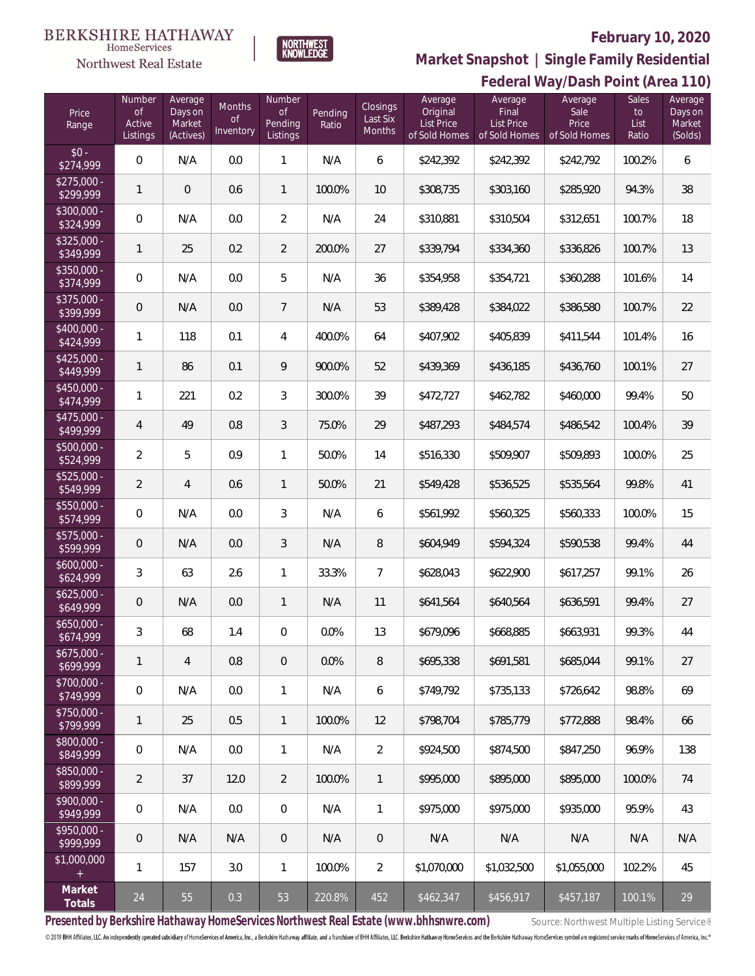#### **BERKSHIRE HATHAWAY**  $\label{lem:sevices} \textsc{Home} \textsc{Service} \textsc{s}$

# Northwest Real Estate



## **February 10, 2020 Federal Way/Dash Point (Area 110) Market Snapshot | Single Family Residential**

| Price<br>Range            | Number<br>0f<br>Active<br>Listings | Average<br>Days on<br>Market<br>(Actives) | <b>Months</b><br><b>of</b><br>Inventory | Number<br><b>of</b><br>Pending<br>Listings | Pending<br>Ratio | <b>Closings</b><br>Last Six<br>Months | Average<br>Original<br><b>List Price</b><br>of Sold Homes | Average<br>Final<br>List Price<br>of Sold Homes | Average<br>Sale<br>Price<br>of Sold Homes | Sales<br>to<br>List<br>Ratio | $-1$<br>Average<br>Days on<br>Market<br>(Solds) |
|---------------------------|------------------------------------|-------------------------------------------|-----------------------------------------|--------------------------------------------|------------------|---------------------------------------|-----------------------------------------------------------|-------------------------------------------------|-------------------------------------------|------------------------------|-------------------------------------------------|
| $$0 -$<br>\$274,999       | $\boldsymbol{0}$                   | N/A                                       | 0.0                                     | $\mathbf{1}$                               | N/A              | 6                                     | \$242,392                                                 | \$242,392                                       | \$242,792                                 | 100.2%                       | 6                                               |
| $$275,000 -$<br>\$299,999 | $\mathbf{1}$                       | 0                                         | 0.6                                     | $\mathbf{1}$                               | 100.0%           | 10                                    | \$308,735                                                 | \$303,160                                       | \$285,920                                 | 94.3%                        | 38                                              |
| \$300,000 -<br>\$324,999  | $\boldsymbol{0}$                   | N/A                                       | 0.0                                     | $\overline{2}$                             | N/A              | 24                                    | \$310,881                                                 | \$310,504                                       | \$312,651                                 | 100.7%                       | 18                                              |
| $$325,000 -$<br>\$349,999 | $\mathbf{1}$                       | 25                                        | 0.2                                     | $\overline{2}$                             | 200.0%           | 27                                    | \$339,794                                                 | \$334,360                                       | \$336,826                                 | 100.7%                       | 13                                              |
| \$350,000 -<br>\$374,999  | $\boldsymbol{0}$                   | N/A                                       | 0.0                                     | 5                                          | N/A              | 36                                    | \$354,958                                                 | \$354,721                                       | \$360,288                                 | 101.6%                       | 14                                              |
| \$375,000 -<br>\$399,999  | $\mathbf 0$                        | N/A                                       | 0.0                                     | $\overline{7}$                             | N/A              | 53                                    | \$389,428                                                 | \$384,022                                       | \$386,580                                 | 100.7%                       | 22                                              |
| \$400,000 -<br>\$424,999  | $\mathbf{1}$                       | 118                                       | 0.1                                     | 4                                          | 400.0%           | 64                                    | \$407,902                                                 | \$405,839                                       | \$411,544                                 | 101.4%                       | 16                                              |
| $$425,000 -$<br>\$449,999 | $\mathbf{1}$                       | 86                                        | 0.1                                     | 9                                          | 900.0%           | 52                                    | \$439,369                                                 | \$436,185                                       | \$436,760                                 | 100.1%                       | 27                                              |
| \$450,000 -<br>\$474,999  | $\mathbf{1}$                       | 221                                       | 0.2                                     | 3                                          | 300.0%           | 39                                    | \$472,727                                                 | \$462,782                                       | \$460,000                                 | 99.4%                        | $50\,$                                          |
| \$475,000 -<br>\$499,999  | 4                                  | 49                                        | 0.8                                     | 3                                          | 75.0%            | 29                                    | \$487,293                                                 | \$484,574                                       | \$486,542                                 | 100.4%                       | 39                                              |
| \$500,000 -<br>\$524,999  | $\overline{2}$                     | 5                                         | 0.9                                     | $\mathbf{1}$                               | 50.0%            | 14                                    | \$516,330                                                 | \$509,907                                       | \$509,893                                 | 100.0%                       | 25                                              |
| \$525,000 -<br>\$549,999  | $\overline{2}$                     | $\overline{4}$                            | 0.6                                     | $\mathbf{1}$                               | 50.0%            | 21                                    | \$549,428                                                 | \$536,525                                       | \$535,564                                 | 99.8%                        | 41                                              |
| \$550,000 -<br>\$574,999  | $\mathbf 0$                        | N/A                                       | 0.0                                     | 3                                          | N/A              | 6                                     | \$561,992                                                 | \$560,325                                       | \$560,333                                 | 100.0%                       | 15                                              |
| \$575,000 -<br>\$599,999  | $\mathbf 0$                        | N/A                                       | 0.0                                     | 3                                          | N/A              | 8                                     | \$604,949                                                 | \$594,324                                       | \$590,538                                 | 99.4%                        | 44                                              |
| $$600,000 -$<br>\$624,999 | $\sqrt{3}$                         | 63                                        | 2.6                                     | $\mathbf{1}$                               | 33.3%            | $\overline{7}$                        | \$628,043                                                 | \$622,900                                       | \$617,257                                 | 99.1%                        | 26                                              |
| $$625,000 -$<br>\$649,999 | $\mathbf 0$                        | N/A                                       | 0.0                                     | $\mathbf{1}$                               | N/A              | 11                                    | \$641,564                                                 | \$640,564                                       | \$636,591                                 | 99.4%                        | 27                                              |
| $$650,000 -$<br>\$674,999 | $\mathfrak{Z}$                     | 68                                        | 1.4                                     | $\boldsymbol{0}$                           | 0.0%             | 13                                    | \$679,096                                                 | \$668,885                                       | \$663,931                                 | 99.3%                        | 44                                              |
| $$675,000 -$<br>\$699,999 | $\mathbf{1}$                       | $\overline{4}$                            | 0.8                                     | $\overline{0}$                             | 0.0%             | 8                                     | \$695,338                                                 | \$691,581                                       | \$685,044                                 | 99.1%                        | 27                                              |
| \$700,000 -<br>\$749,999  | $\boldsymbol{0}$                   | N/A                                       | 0.0                                     | $\mathbf{1}$                               | N/A              | 6                                     | \$749,792                                                 | \$735,133                                       | \$726,642                                 | 98.8%                        | 69                                              |
| \$750,000 -<br>\$799,999  | $\mathbf{1}$                       | 25                                        | 0.5                                     | $\mathbf{1}$                               | 100.0%           | 12                                    | \$798,704                                                 | \$785,779                                       | \$772,888                                 | 98.4%                        | 66                                              |
| \$800,000 -<br>\$849,999  | $\boldsymbol{0}$                   | N/A                                       | 0.0                                     | $\mathbf{1}$                               | N/A              | $\overline{2}$                        | \$924,500                                                 | \$874,500                                       | \$847,250                                 | 96.9%                        | 138                                             |
| \$850,000 -<br>\$899,999  | $\overline{2}$                     | 37                                        | 12.0                                    | $\overline{2}$                             | 100.0%           | $\mathbb{1}$                          | \$995,000                                                 | \$895,000                                       | \$895,000                                 | 100.0%                       | 74                                              |
| \$900,000 -<br>\$949,999  | 0                                  | N/A                                       | 0.0                                     | $\sqrt{0}$                                 | N/A              | $\mathbf{1}$                          | \$975,000                                                 | \$975,000                                       | \$935,000                                 | 95.9%                        | 43                                              |
| \$950,000 -<br>\$999,999  | $\theta$                           | N/A                                       | N/A                                     | $\overline{0}$                             | N/A              | $\mathbf 0$                           | N/A                                                       | N/A                                             | N/A                                       | N/A                          | N/A                                             |
| \$1,000,000<br>$+$        | 1                                  | 157                                       | 3.0                                     | $\mathbf{1}$                               | 100.0%           | $\overline{2}$                        | \$1,070,000                                               | \$1,032,500                                     | \$1,055,000                               | 102.2%                       | 45                                              |
| Market<br>Totals          | 24                                 | 55                                        | 0.3                                     | 53                                         | 220.8%           | 452                                   | \$462,347                                                 | \$456,917                                       | \$457,187                                 | 100.1%                       | 29                                              |

Presented by Berkshire Hathaway HomeServices Northwest Real Estate (www.bhhsnwre.com) Source: Northwest Multiple Listing Service®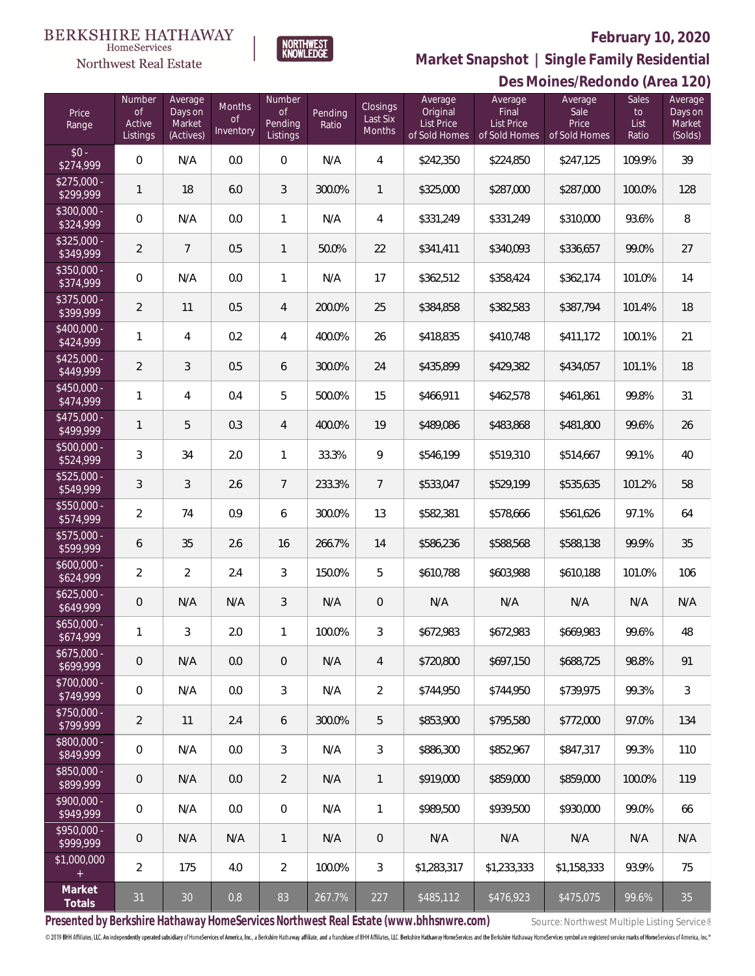#### **February 10, 2020**



 $\label{lem:sevices} \textsc{Home} \textsc{Service} \textsc{s}$ Northwest Real Estate

## **Market Snapshot | Single Family Residential**

|                           | Des Moines/Redondo (Area 120)      |                                           |                                  |                                            |                  |                                |                                                    |                                                        |                                           |                              |                                         |
|---------------------------|------------------------------------|-------------------------------------------|----------------------------------|--------------------------------------------|------------------|--------------------------------|----------------------------------------------------|--------------------------------------------------------|-------------------------------------------|------------------------------|-----------------------------------------|
| Price<br>Range            | Number<br>of<br>Active<br>Listings | Average<br>Days on<br>Market<br>(Actives) | Months<br><b>of</b><br>Inventory | Number<br><b>of</b><br>Pending<br>Listings | Pending<br>Ratio | Closings<br>Last Six<br>Months | Average<br>Original<br>List Price<br>of Sold Homes | Average<br>Final<br><b>List Price</b><br>of Sold Homes | Average<br>Sale<br>Price<br>of Sold Homes | Sales<br>to<br>List<br>Ratio | Average<br>Days on<br>Market<br>(Solds) |
| $$0 -$<br>\$274,999       | $\,0\,$                            | N/A                                       | 0.0                              | $\mathbf 0$                                | N/A              | 4                              | \$242,350                                          | \$224,850                                              | \$247,125                                 | 109.9%                       | 39                                      |
| $$275,000 -$<br>\$299,999 | $\mathbf{1}$                       | 18                                        | 6.0                              | $\mathfrak{Z}$                             | 300.0%           | 1                              | \$325,000                                          | \$287,000                                              | \$287,000                                 | 100.0%                       | 128                                     |
| $$300,000 -$<br>\$324,999 | $\mathbf 0$                        | N/A                                       | 0.0                              | $\mathbf{1}$                               | N/A              | 4                              | \$331,249                                          | \$331,249                                              | \$310,000                                 | 93.6%                        | 8                                       |
| $$325,000 -$<br>\$349,999 | 2                                  | $\overline{7}$                            | 0.5                              | $\mathbf{1}$                               | 50.0%            | 22                             | \$341,411                                          | \$340,093                                              | \$336,657                                 | 99.0%                        | 27                                      |
| $$350,000 -$<br>\$374,999 | $\mathbf 0$                        | N/A                                       | 0.0                              | $\mathbf{1}$                               | N/A              | 17                             | \$362,512                                          | \$358,424                                              | \$362,174                                 | 101.0%                       | 14                                      |
| $$375,000 -$<br>\$399,999 | $\overline{2}$                     | 11                                        | 0.5                              | $\overline{4}$                             | 200.0%           | 25                             | \$384,858                                          | \$382,583                                              | \$387,794                                 | 101.4%                       | 18                                      |
| $$400,000 -$<br>\$424,999 | 1                                  | 4                                         | 0.2                              | $\overline{4}$                             | 400.0%           | 26                             | \$418,835                                          | \$410,748                                              | \$411,172                                 | 100.1%                       | 21                                      |
| $$425,000 -$<br>\$449,999 | $\overline{2}$                     | 3                                         | 0.5                              | 6                                          | 300.0%           | 24                             | \$435,899                                          | \$429,382                                              | \$434,057                                 | 101.1%                       | 18                                      |
| $$450,000 -$<br>\$474,999 | 1                                  | 4                                         | 0.4                              | 5                                          | 500.0%           | 15                             | \$466,911                                          | \$462,578                                              | \$461,861                                 | 99.8%                        | 31                                      |
| $$475,000 -$<br>\$499,999 | 1                                  | 5                                         | 0.3                              | $\overline{4}$                             | 400.0%           | 19                             | \$489,086                                          | \$483,868                                              | \$481,800                                 | 99.6%                        | 26                                      |
| \$500,000 -<br>\$524,999  | 3                                  | 34                                        | 2.0                              | $\mathbf{1}$                               | 33.3%            | 9                              | \$546,199                                          | \$519,310                                              | \$514,667                                 | 99.1%                        | 40                                      |
| $$525,000 -$<br>\$549,999 | 3                                  | 3                                         | 2.6                              | 7                                          | 233.3%           | $\overline{7}$                 | \$533,047                                          | \$529,199                                              | \$535,635                                 | 101.2%                       | 58                                      |
| $$550,000 -$<br>\$574,999 | 2                                  | 74                                        | 0.9                              | 6                                          | 300.0%           | 13                             | \$582,381                                          | \$578,666                                              | \$561,626                                 | 97.1%                        | 64                                      |
| $$575,000 -$<br>\$599,999 | 6                                  | 35                                        | 2.6                              | 16                                         | 266.7%           | 14                             | \$586,236                                          | \$588,568                                              | \$588,138                                 | 99.9%                        | 35                                      |
| $$600,000 -$<br>\$624,999 | $\overline{2}$                     | $\overline{2}$                            | 2.4                              | 3                                          | 150.0%           | 5                              | \$610,788                                          | \$603,988                                              | \$610,188                                 | 101.0%                       | 106                                     |
| $$625,000 -$<br>\$649,999 | 0                                  | N/A                                       | N/A                              | 3                                          | N/A              | $\mathbf 0$                    | N/A                                                | N/A                                                    | N/A                                       | N/A                          | N/A                                     |
| \$650,000 -<br>\$674,999  | 1                                  | 3                                         | 2.0                              | $\mathbf{1}$                               | 100.0%           | 3                              | \$672,983                                          | \$672,983                                              | \$669,983                                 | 99.6%                        | 48                                      |
| $$675,000 -$<br>\$699,999 | $\overline{0}$                     | N/A                                       | 0.0                              | $\overline{0}$                             | N/A              | $\overline{4}$                 | \$720,800                                          | \$697,150                                              | \$688,725                                 | 98.8%                        | 91                                      |
| $$700,000 -$<br>\$749,999 | $\mathbf 0$                        | N/A                                       | 0.0                              | 3                                          | N/A              | $\overline{2}$                 | \$744,950                                          | \$744,950                                              | \$739,975                                 | 99.3%                        | 3                                       |
| $$750,000 -$<br>\$799,999 | 2                                  | 11                                        | 2.4                              | 6                                          | 300.0%           | 5                              | \$853,900                                          | \$795,580                                              | \$772,000                                 | 97.0%                        | 134                                     |
| $$800,000 -$<br>\$849,999 | $\overline{0}$                     | N/A                                       | 0.0                              | 3                                          | N/A              | 3                              | \$886,300                                          | \$852,967                                              | \$847,317                                 | 99.3%                        | 110                                     |
| $$850,000 -$<br>\$899,999 | $\mathbf 0$                        | N/A                                       | 0.0                              | $\overline{2}$                             | N/A              | 1                              | \$919,000                                          | \$859,000                                              | \$859,000                                 | 100.0%                       | 119                                     |
| $$900,000 -$<br>\$949,999 | $\mathbf 0$                        | N/A                                       | 0.0                              | $\overline{0}$                             | N/A              | 1                              | \$989,500                                          | \$939,500                                              | \$930,000                                 | 99.0%                        | 66                                      |
| $$950.000 -$<br>\$999,999 | 0                                  | N/A                                       | N/A                              | $\mathbf{1}$                               | N/A              | $\,0\,$                        | N/A                                                | N/A                                                    | N/A                                       | N/A                          | N/A                                     |
| \$1,000,000               | 2                                  | 175                                       | 4.0                              | $\overline{2}$                             | 100.0%           | 3                              | \$1,283,317                                        | \$1,233,333                                            | \$1,158,333                               | 93.9%                        | 75                                      |
| Market<br>Totals          | 31                                 | $30\,$                                    | 0.8                              | 83                                         | 267.7%           | 227                            | \$485,112                                          | \$476,923                                              | \$475,075                                 | 99.6%                        | 35                                      |

Presented by Berkshire Hathaway HomeServices Northwest Real Estate (www.bhhsnwre.com) Source: Northwest Multiple Listing Service®